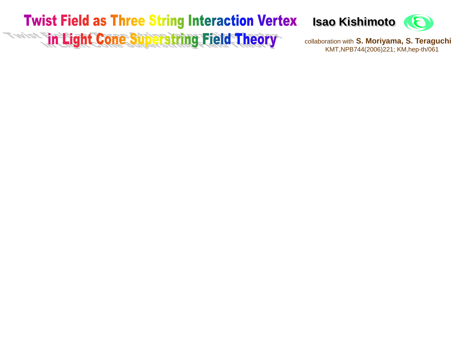### **Twist Field as Three String Interaction Vertex Exception 2018 Theory** in Light Cone Superstring Field Theory



collaboration with **S. Moriyama, S. Teraguchi** KMT,NPB744(2006)221; KM,hep-th/061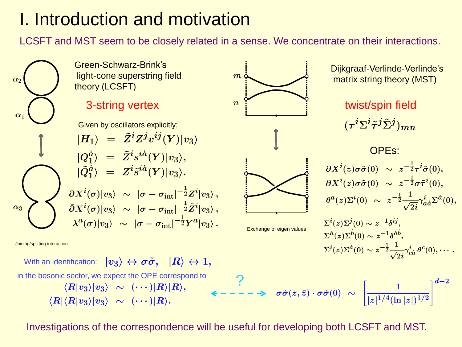# I. Introduction and motivation

LCSFT and MST seem to be closely related in a sense. We concentrate on their interactions.



Investigations of the correspondence will be useful for developing both LCSFT and MST.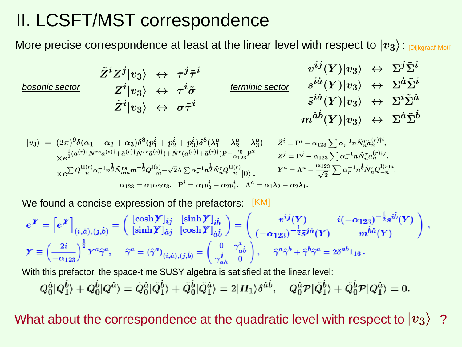# II. LCSFT/MST correspondence

More precise correspondence at least at the linear level with respect to  $|v_3\rangle$  regikgraaf-Motl]

*bosonic sector ferminic sector*

$$
\begin{array}{ccc}\tilde{Z}^{i}Z^{j}|v_{3}\rangle&\leftrightarrow&\tau^{j}\tilde{\tau}^{i}&v^{ij}(Y)|v_{3}\rangle&\leftrightarrow\Sigma^{j}\Sigma^{i}\\ Z^{i}|v_{3}\rangle&\leftrightarrow&\tau^{i}\tilde{\sigma}&\textit{ferminic sector}&s^{i\dot{a}}(Y)|v_{3}\rangle&\leftrightarrow\Sigma^{\dot{a}}\tilde{\Sigma}^{i}\\ \tilde{Z}^{i}|v_{3}\rangle&\leftrightarrow&\sigma\tilde{\tau}^{i}&m^{\dot{a}\dot{b}}(Y)|v_{3}\rangle&\leftrightarrow\Sigma^{\dot{a}}\tilde{\Sigma}^{\dot{b}}\\ m^{\dot{a}\dot{b}}(Y)|v_{3}\rangle&\leftrightarrow\Sigma^{\dot{a}}\tilde{\Sigma}^{\dot{b}}\\ \end{array}
$$

$$
\begin{array}{ll} |v_{3}\rangle\;=\; (2\pi)^{9}\delta(\alpha_{1}+\alpha_{2}+\alpha_{3})\delta^{8}(p_{1}^{i}+p_{2}^{i}+p_{3}^{i})\delta^{8}(\lambda_{1}^{a}+\lambda_{2}^{a}+\lambda_{3}^{a}) & \tilde{Z}^{i}=\mathrm{P}^{i}-\alpha_{123}\sum\alpha_{r}^{-1}n\tilde{N}_{n}^{r}\tilde{a}_{n}^{(r)i},\\ \times e^{\frac{1}{2}(a^{(r)}\dagger\tilde{N}^{rs}a^{(s)\dagger}+\tilde{a}^{(r)\dagger}\tilde{N}^{rs}\tilde{a}^{(s)\dagger})+\tilde{N}^{r}(a^{(r)}\dagger+\tilde{a}^{(r)\dagger})\mathrm{P}-\frac{\tau_{0}}{\alpha_{123}}\mathrm{P}^{2}} & \tilde{Z}^{j}=\mathrm{P}^{j}-\alpha_{123}\sum\alpha_{r}^{-1}n\tilde{N}_{n}^{r}\tilde{a}_{n}^{(r)\dagger j},\\ \times e^{\sum Q_{-n}^{\mathrm{II}(r)}\alpha_{r}^{-1}n^{\frac{1}{2}}\tilde{N}_{nm}^{rs}m^{-\frac{1}{2}}Q_{-m}^{\mathrm{I}(s)}-\sqrt{2}\Lambda\sum\alpha_{r}^{-1}n^{\frac{1}{2}}\tilde{N}_{n}^{r}Q_{-n}^{\mathrm{II}(r)}|0\rangle, & Y^{a}=\Lambda^{a}-\frac{\alpha_{123}}{\sqrt{2}}\sum\alpha_{r}^{-1}n^{\frac{1}{2}}\tilde{N}_{n}^{r}Q_{-n}^{\mathrm{I}(r)a},\\ \alpha_{123}=\alpha_{1}\alpha_{2}\alpha_{3},\;\;\mathrm{P}^{i}=\alpha_{1}p_{2}^{i}-\alpha_{2}p_{1}^{i},\;\;\Lambda^{a}=\alpha_{1}\lambda_{2}-\alpha_{2}\lambda_{1}.\end{array}
$$

We found a concise expression of the prefactors: [KM]

$$
e^{\boldsymbol{Y}} = \left[e^{\boldsymbol{Y}}\right]_{(i,\dot{a}),(j,\dot{b})} = \begin{pmatrix} \left[\cosh \boldsymbol{Y}\right]_{ij} & \left[\sinh \boldsymbol{Y}\right]_{i\dot{b}} \\ \left[\sinh \boldsymbol{Y}\right]_{\dot{a}j} & \left[\cosh \boldsymbol{Y}\right]_{\dot{a}\dot{b}} \end{pmatrix} = \begin{pmatrix} v^{ij}(Y) & i(-\alpha_{123})^{-\frac{1}{2}}s^{i\dot{b}}(Y) \\ (-\alpha_{123})^{-\frac{1}{2}}\tilde{s}^{j\dot{a}}(Y) & m^{\dot{b}\dot{a}}(Y) \end{pmatrix},
$$

$$
\boldsymbol{Y} \equiv \left(\frac{2i}{-\alpha_{123}}\right)^{\frac{1}{2}} Y^{a} \hat{\gamma}^{a}, \quad \hat{\gamma}^{a} = \left(\hat{\gamma}^{a}\right)_{(i,\dot{a}),(j,\dot{b})} = \begin{pmatrix} 0 & \gamma^{i}_{\dot{a}\dot{b}} \\ \gamma^{j}_{\dot{a}\dot{a}} & 0 \end{pmatrix}, \quad \hat{\gamma}^{a} \hat{\gamma}^{b} + \hat{\gamma}^{b} \hat{\gamma}^{a} = 2\delta^{ab} \mathbf{1}_{16}.
$$

With this prefactor, the space-time SUSY algebra is satisfied at the linear level:

$$
Q_0^{\dot{a}}|Q_1^{\dot{b}}\rangle+Q_0^{\dot{b}}|Q^{\dot{a}}\rangle=\tilde{Q}_0^{\dot{a}}|\tilde{Q}_1^{\dot{b}}\rangle+\tilde{Q}_0^{\dot{b}}|\tilde{Q}_1^{\dot{a}}\rangle=2|H_1\rangle\delta^{\dot{a}\dot{b}},\quad Q_0^{\dot{a}}\mathcal{P}|\tilde{Q}_1^{\dot{b}}\rangle+\tilde{Q}_0^{\dot{b}}\mathcal{P}|Q_1^{\dot{a}}\rangle=0.
$$

What about the correspondence at the quadratic level with respect to  $|v_3\rangle$  ?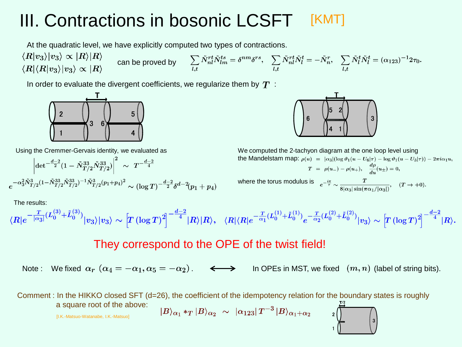#### III. Contractions in bosonic LCSFT [KMT]

At the quadratic level, we have explicitly computed two types of contractions.

 $\langle R|v_3\rangle|v_3\rangle \propto |R\rangle|R\rangle$  $\sum_{l,t}\tilde{N}^{rt}_{nl}\tilde{N}^{ts}_{lm}=\delta^{nm}\delta^{rs},\quad \sum_{l,t}\tilde{N}^{rt}_{nl}\tilde{N}^{t}_{l}=-\tilde{N}^{r}_{n},\quad \sum_{l,t}\tilde{N}^{t}_{l}\tilde{N}^{t}_{l}=(\alpha_{123})^{-1}2\tau_{0}.$ can be proved by  $\langle R|\langle R|v_3\rangle|v_3\rangle \propto |R\rangle$ 

In order to evaluate the divergent coefficients, we regularize them by  $T$ :



Using the Cremmer-Gervais identity, we evaluated as

$$
\left|\det^{-\frac{d-2}{2}}(1-\tilde{N}_{T/2}^{33}\tilde{N}_{T/2}^{33})\right|^2 \sim T^{-\frac{d-2}{4}}\\e^{-\alpha_3^2\tilde{N}_{T/2}^3(1-\tilde{N}_{T/2}^{33}\tilde{N}_{T/2}^{33})^{-1}\tilde{N}_{T/2}^3(p_1+p_4)^2} \sim (\log T)^{-\frac{d-2}{2}}\delta^{d-2}(p_1+p_4)
$$

The results:

$$
\langle R|e^{-\frac{T}{|\alpha_3|}(L_0^{(3)}+\tilde{L}_0^{(3)})}|v_3\rangle|v_3\rangle \sim \Big[T\left(\log T\right)^2\Big]^{-\frac{d-2}{4}}|R\rangle|R\rangle, \quad \langle R|\langle R|e^{-\frac{T}{\alpha_1}(L_0^{(1)}+\tilde{L}_0^{(1)})}e^{-\frac{T}{\alpha_2}(L_0^{(2)}+\tilde{L}_0^{(2)})}|v_3\rangle \sim \Big[T\left(\log T\right)^2\Big]^{-\frac{d-2}{4}}|R\rangle.
$$

### They correspond to the OPE of the twist field!

Note: We fixed  $\alpha_r$   $(\alpha_4 = -\alpha_1, \alpha_5 = -\alpha_2)$ .  $\longleftrightarrow$  In OPEs in MST, we fixed  $(m, n)$  (label of string bits).

Comment : In the HIKKO closed SFT (d=26), the coefficient of the idempotency relation for the boundary states is roughly a square root of the above:  $|B\rangle_{\alpha_1} *_{T} |B\rangle_{\alpha_2} \sim |\alpha_{123}| T^{-3} |B\rangle_{\alpha_1+\alpha_2}$ 

[I.K.-Matsuo-Watanabe, I.K.-Matsuo]



We computed the 2-tachyon diagram at the one loop level using the Mandelstam map:  $\rho(u) = |\alpha_3| (\log \vartheta_1(u - U_6|\tau) - \log \vartheta_1(u - U_3|\tau)) - 2\pi i \alpha_1 u$ ,  $T = \rho(u_{-}) - \rho(u_{+}), \quad \frac{d\rho}{du}(u_{\pm}) = 0,$ where the torus modulus is  $e^{-\frac{i\pi}{\tau}} \sim$  $+0).$ 

$$
\frac{1}{8|\alpha_3|\sin(\pi\alpha_1/|\alpha_3|)}, \quad (T \to \frac{1}{2})
$$